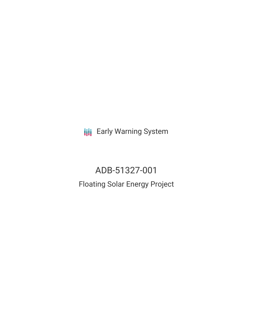**III** Early Warning System

ADB-51327-001 Floating Solar Energy Project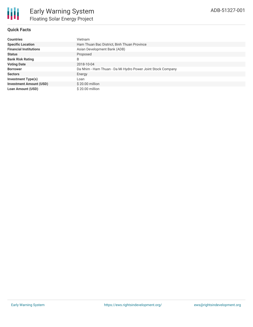# **Quick Facts**

| <b>Countries</b>               | Vietnam                                                     |
|--------------------------------|-------------------------------------------------------------|
| <b>Specific Location</b>       | Ham Thuan Bac District, Binh Thuan Province                 |
| <b>Financial Institutions</b>  | Asian Development Bank (ADB)                                |
| <b>Status</b>                  | Proposed                                                    |
| <b>Bank Risk Rating</b>        | B                                                           |
| <b>Voting Date</b>             | 2018-10-04                                                  |
| <b>Borrower</b>                | Da Nhim - Ham Thuan - Da Mi Hydro Power Joint Stock Company |
| <b>Sectors</b>                 | Energy                                                      |
| Investment Type(s)             | Loan                                                        |
| <b>Investment Amount (USD)</b> | $$20.00$ million                                            |
| <b>Loan Amount (USD)</b>       | $$20.00$ million                                            |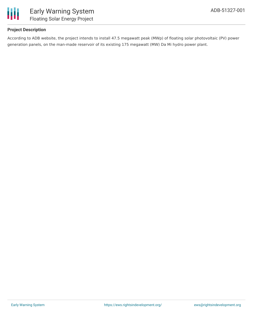

## **Project Description**

According to ADB website, the project intends to install 47.5 megawatt peak (MWp) of floating solar photovoltaic (PV) power generation panels, on the man-made reservoir of its existing 175 megawatt (MW) Da Mi hydro power plant.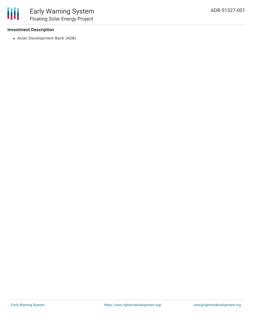### **Investment Description**

Asian Development Bank (ADB)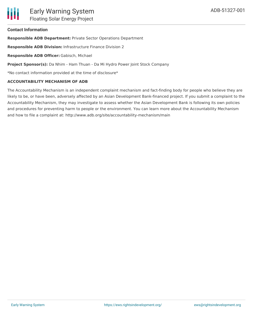### **Contact Information**

**Responsible ADB Department:** Private Sector Operations Department

**Responsible ADB Division:** Infrastructure Finance Division 2

**Responsible ADB Officer:** Gabisch, Michael

**Project Sponsor(s):** Da Nhim - Ham Thuan - Da Mi Hydro Power Joint Stock Company

\*No contact information provided at the time of disclosure\*

#### **ACCOUNTABILITY MECHANISM OF ADB**

The Accountability Mechanism is an independent complaint mechanism and fact-finding body for people who believe they are likely to be, or have been, adversely affected by an Asian Development Bank-financed project. If you submit a complaint to the Accountability Mechanism, they may investigate to assess whether the Asian Development Bank is following its own policies and procedures for preventing harm to people or the environment. You can learn more about the Accountability Mechanism and how to file a complaint at: http://www.adb.org/site/accountability-mechanism/main